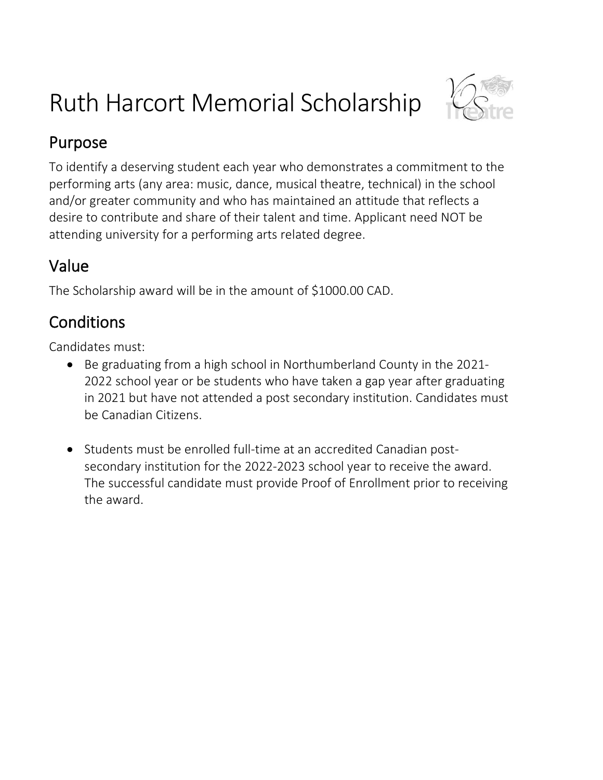# Ruth Harcort Memorial Scholarship



### Purpose

To identify a deserving student each year who demonstrates a commitment to the performing arts (any area: music, dance, musical theatre, technical) in the school and/or greater community and who has maintained an attitude that reflects a desire to contribute and share of their talent and time. Applicant need NOT be attending university for a performing arts related degree.

### Value

The Scholarship award will be in the amount of \$1000.00 CAD.

# **Conditions**

Candidates must:

- Be graduating from a high school in Northumberland County in the 2021- 2022 school year or be students who have taken a gap year after graduating in 2021 but have not attended a post secondary institution. Candidates must be Canadian Citizens.
- Students must be enrolled full-time at an accredited Canadian postsecondary institution for the 2022-2023 school year to receive the award. The successful candidate must provide Proof of Enrollment prior to receiving the award.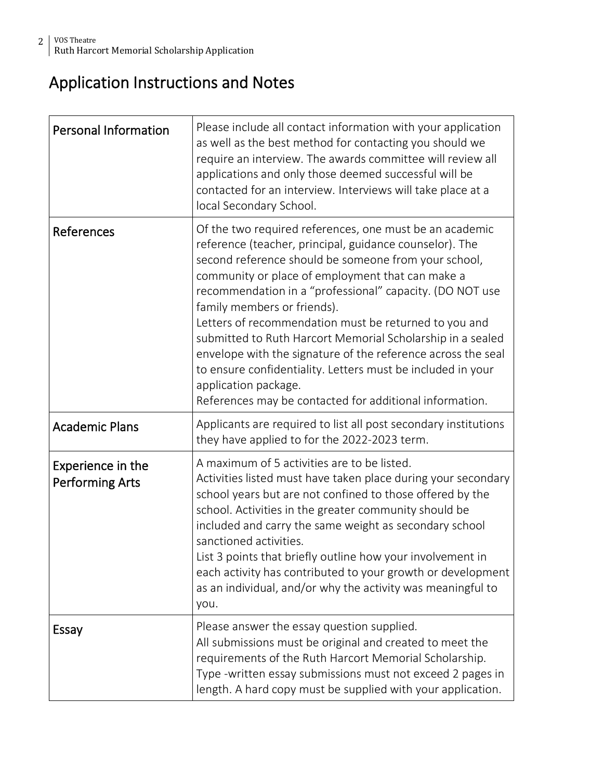### Application Instructions and Notes

| <b>Personal Information</b>                 | Please include all contact information with your application<br>as well as the best method for contacting you should we<br>require an interview. The awards committee will review all<br>applications and only those deemed successful will be<br>contacted for an interview. Interviews will take place at a<br>local Secondary School.                                                                                                                                                                                                                                                                                                                           |
|---------------------------------------------|--------------------------------------------------------------------------------------------------------------------------------------------------------------------------------------------------------------------------------------------------------------------------------------------------------------------------------------------------------------------------------------------------------------------------------------------------------------------------------------------------------------------------------------------------------------------------------------------------------------------------------------------------------------------|
| References                                  | Of the two required references, one must be an academic<br>reference (teacher, principal, guidance counselor). The<br>second reference should be someone from your school,<br>community or place of employment that can make a<br>recommendation in a "professional" capacity. (DO NOT use<br>family members or friends).<br>Letters of recommendation must be returned to you and<br>submitted to Ruth Harcort Memorial Scholarship in a sealed<br>envelope with the signature of the reference across the seal<br>to ensure confidentiality. Letters must be included in your<br>application package.<br>References may be contacted for additional information. |
| <b>Academic Plans</b>                       | Applicants are required to list all post secondary institutions<br>they have applied to for the 2022-2023 term.                                                                                                                                                                                                                                                                                                                                                                                                                                                                                                                                                    |
| Experience in the<br><b>Performing Arts</b> | A maximum of 5 activities are to be listed.<br>Activities listed must have taken place during your secondary<br>school years but are not confined to those offered by the<br>school. Activities in the greater community should be<br>included and carry the same weight as secondary school<br>sanctioned activities.<br>List 3 points that briefly outline how your involvement in<br>each activity has contributed to your growth or development<br>as an individual, and/or why the activity was meaningful to<br>you.                                                                                                                                         |
| Essay                                       | Please answer the essay question supplied.<br>All submissions must be original and created to meet the<br>requirements of the Ruth Harcort Memorial Scholarship.<br>Type-written essay submissions must not exceed 2 pages in<br>length. A hard copy must be supplied with your application.                                                                                                                                                                                                                                                                                                                                                                       |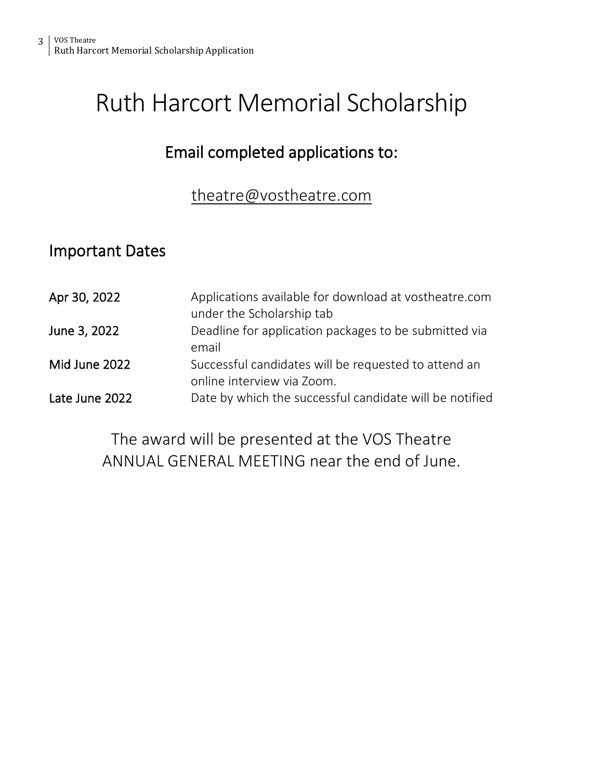# Ruth Harcort Memorial Scholarship

### Email completed applications to:

#### [theatre@vostheatre.com](mailto:theatre@vostheatre.com)

### Important Dates

| Apr 30, 2022   | Applications available for download at vostheatre.com<br>under the Scholarship tab |
|----------------|------------------------------------------------------------------------------------|
| June 3, 2022   | Deadline for application packages to be submitted via<br>email                     |
| Mid June 2022  | Successful candidates will be requested to attend an<br>online interview via Zoom. |
| Late June 2022 | Date by which the successful candidate will be notified                            |

The award will be presented at the VOS Theatre ANNUAL GENERAL MEETING near the end of June.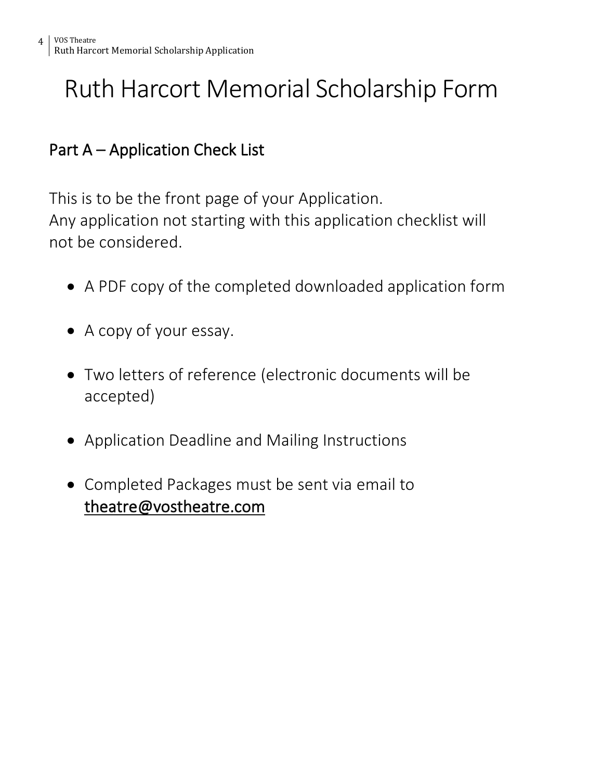# Ruth Harcort Memorial Scholarship Form

### Part A – Application Check List

This is to be the front page of your Application. Any application not starting with this application checklist will not be considered.

- A PDF copy of the completed downloaded application form
- A copy of your essay.
- Two letters of reference (electronic documents will be accepted)
- Application Deadline and Mailing Instructions
- Completed Packages must be sent via email to [theatre@vostheatre.com](mailto:theatre@vostheatre.com)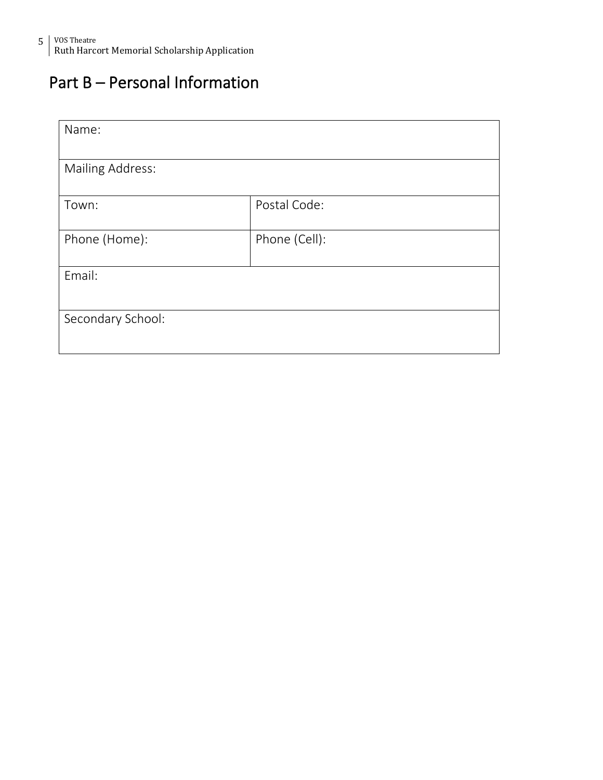### Part B – Personal Information

| Name:                   |               |
|-------------------------|---------------|
| <b>Mailing Address:</b> |               |
| Town:                   | Postal Code:  |
| Phone (Home):           | Phone (Cell): |
| Email:                  |               |
| Secondary School:       |               |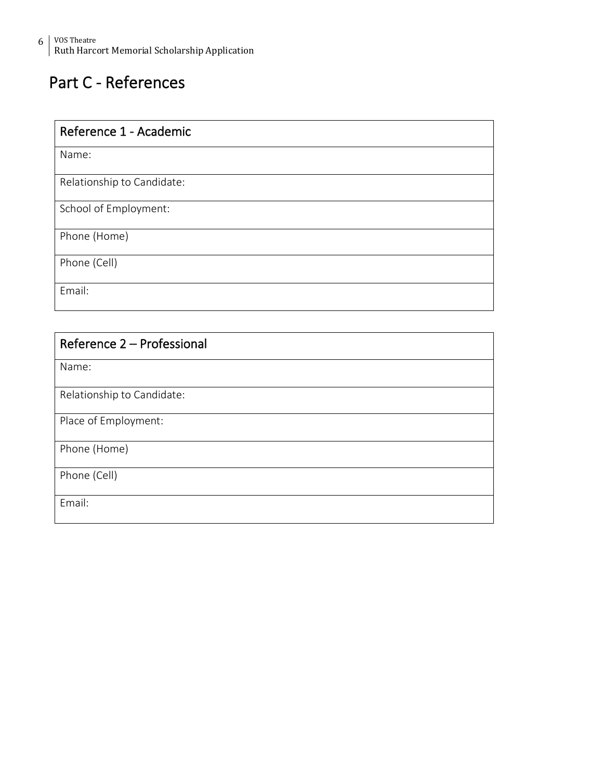## Part C - References

| Reference 1 - Academic     |
|----------------------------|
| Name:                      |
| Relationship to Candidate: |
| School of Employment:      |
| Phone (Home)               |
| Phone (Cell)               |
| Email:                     |

| Reference 2 - Professional |
|----------------------------|
| Name:                      |
| Relationship to Candidate: |
| Place of Employment:       |
| Phone (Home)               |
| Phone (Cell)               |
| Email:                     |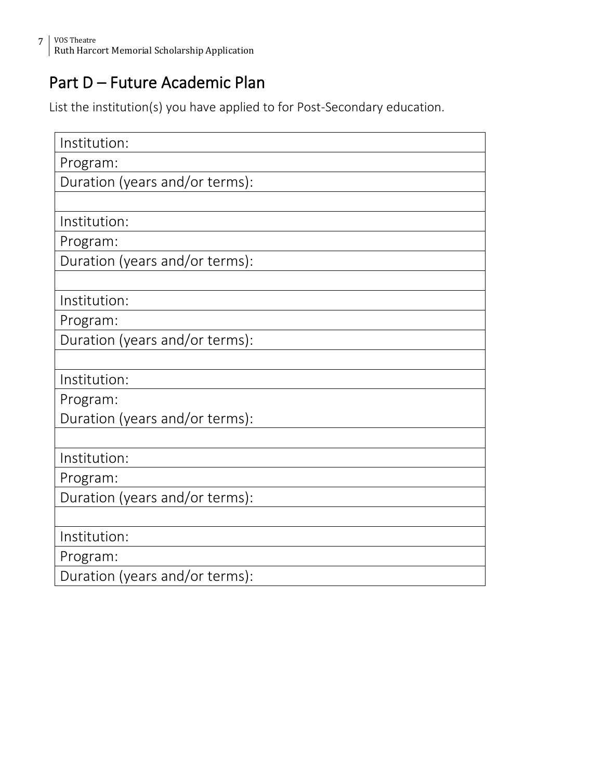### Part D – Future Academic Plan

List the institution(s) you have applied to for Post-Secondary education.

| Institution:                   |
|--------------------------------|
| Program:                       |
| Duration (years and/or terms): |
|                                |
| Institution:                   |
| Program:                       |
| Duration (years and/or terms): |
|                                |
| Institution:                   |
| Program:                       |
| Duration (years and/or terms): |
|                                |
| Institution:                   |
| Program:                       |
| Duration (years and/or terms): |
|                                |
| Institution:                   |
| Program:                       |
| Duration (years and/or terms): |
|                                |
| Institution:                   |
| Program:                       |
| Duration (years and/or terms): |
|                                |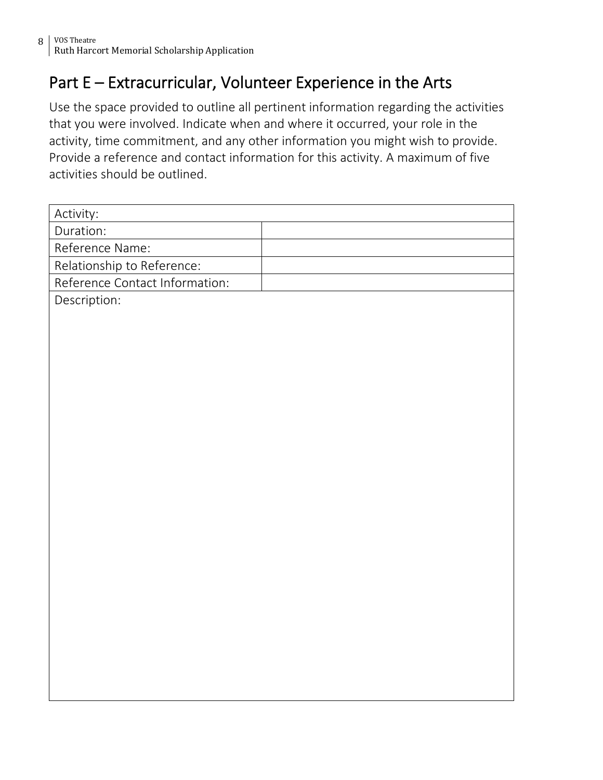### Part E – Extracurricular, Volunteer Experience in the Arts

Use the space provided to outline all pertinent information regarding the activities that you were involved. Indicate when and where it occurred, your role in the activity, time commitment, and any other information you might wish to provide. Provide a reference and contact information for this activity. A maximum of five activities should be outlined.

| Activity:                      |  |
|--------------------------------|--|
| Duration:                      |  |
| Reference Name:                |  |
| Relationship to Reference:     |  |
| Reference Contact Information: |  |
| Description:                   |  |
|                                |  |
|                                |  |
|                                |  |
|                                |  |
|                                |  |
|                                |  |
|                                |  |
|                                |  |
|                                |  |
|                                |  |
|                                |  |
|                                |  |
|                                |  |
|                                |  |
|                                |  |
|                                |  |
|                                |  |
|                                |  |
|                                |  |
|                                |  |
|                                |  |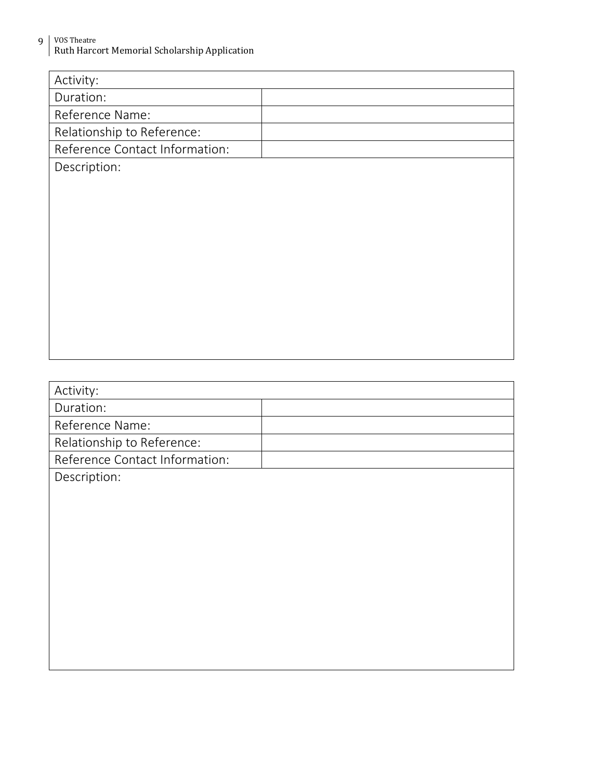9 VOS Theatre Ruth Harcort Memorial Scholarship Application

| Activity:                      |  |
|--------------------------------|--|
| Duration:                      |  |
| Reference Name:                |  |
| Relationship to Reference:     |  |
| Reference Contact Information: |  |
| Description:                   |  |
|                                |  |
|                                |  |
|                                |  |
|                                |  |
|                                |  |
|                                |  |
|                                |  |
|                                |  |
|                                |  |
|                                |  |
|                                |  |
| Activity:                      |  |
| Duration:                      |  |
| Reference Name:                |  |
| Relationship to Reference:     |  |
| Reference Contact Information: |  |
| Description:                   |  |
|                                |  |
|                                |  |
|                                |  |
|                                |  |
|                                |  |
|                                |  |
|                                |  |
|                                |  |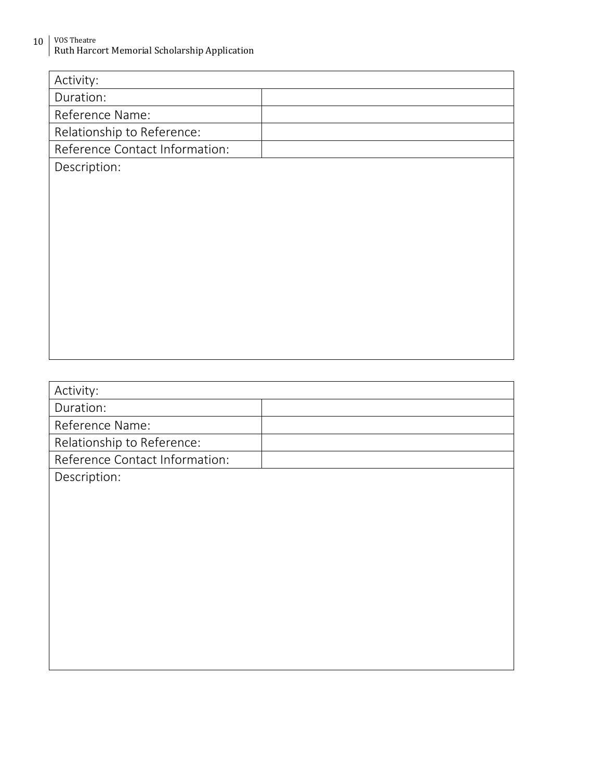10 | VOS Theatre Ruth Harcort Memorial Scholarship Application

| Activity:                      |  |
|--------------------------------|--|
| Duration:                      |  |
| Reference Name:                |  |
| Relationship to Reference:     |  |
| Reference Contact Information: |  |
| Description:                   |  |
|                                |  |
|                                |  |
|                                |  |
|                                |  |
|                                |  |
|                                |  |
|                                |  |
|                                |  |
|                                |  |
|                                |  |
|                                |  |
|                                |  |
| Activity:                      |  |
| Duration:                      |  |
| Reference Name:                |  |
| Relationship to Reference:     |  |
| Reference Contact Information: |  |
| Description:                   |  |
|                                |  |
|                                |  |
|                                |  |
|                                |  |
|                                |  |
|                                |  |
|                                |  |